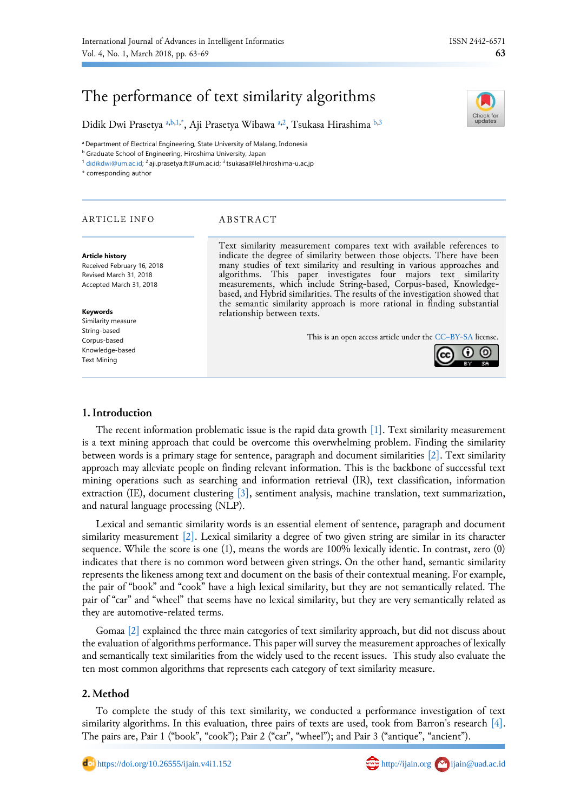Check for

# The performance of text similarity algorithms

Didik Dwi Prasetya <sup>[a,](#page-0-0)[b,](#page-0-1)[1,](#page-0-2)[\\*](#page-0-3)</sup>, Aji Pr[a](#page-0-0)setya Wibawa <sup>a[,2](#page-0-4)</sup>, Tsukasa Hirashima <sup>[b](#page-0-1)[,3](#page-0-5)</sup>

<span id="page-0-0"></span><sup>a</sup> Department of Electrical Engineering, State University of Malang, Indonesia

<span id="page-0-1"></span>**b** Graduate School of Engineering, Hiroshima University, Japan

<span id="page-0-2"></span><sup>1</sup> [didikdwi@um.ac.id;](mailto:didikdwi@um.ac.id) <sup>2</sup>aji.prasetya.ft@um.ac.id; <sup>3</sup>tsukasa@lel.hiroshima-u.ac.jp

<span id="page-0-4"></span><span id="page-0-3"></span>\* corresponding author

# ARTICLE INFO ABSTRACT

#### **Article history**

Received February 16, 2018 Revised March 31, 2018 Accepted March 31, 2018

#### **Keywords**

Similarity measure String-based Corpus-based Knowledge-based Text Mining

<span id="page-0-5"></span>Text similarity measurement compares text with available references to indicate the degree of similarity between those objects. There have been many studies of text similarity and resulting in various approaches and algorithms. This paper investigates four majors text similarity measurements, which include String-based, Corpus-based, Knowledgebased, and Hybrid similarities. The results of the investigation showed that the semantic similarity approach is more rational in finding substantial relationship between texts.

This is an open access article under the CC–[BY-SA](http://creativecommons.org/licenses/by-sa/4.0/) license.



# **1.Introduction**

The recent information problematic issue is the rapid data growth [\[1\].](#page-4-0) Text similarity measurement is a text mining approach that could be overcome this overwhelming problem. Finding the similarity between words is a primary stage for sentence, paragraph and document similarities [\[2\].](#page-4-1) Text similarity approach may alleviate people on finding relevant information. This is the backbone of successful text mining operations such as searching and information retrieval (IR), text classification, information extraction (IE), document clustering [\[3\],](#page-4-2) sentiment analysis, machine translation, text summarization, and natural language processing (NLP).

Lexical and semantic similarity words is an essential element of sentence, paragraph and document similarity measurement [\[2\].](#page-4-1) Lexical similarity a degree of two given string are similar in its character sequence. While the score is one (1), means the words are 100% lexically identic. In contrast, zero (0) indicates that there is no common word between given strings. On the other hand, semantic similarity represents the likeness among text and document on the basis of their contextual meaning. For example, the pair of "book" and "cook" have a high lexical similarity, but they are not semantically related. The pair of "car" and "wheel" that seems have no lexical similarity, but they are very semantically related as they are automotive-related terms.

Gomaa [\[2\]](#page-4-1) explained the three main categories of text similarity approach, but did not discuss about the evaluation of algorithms performance. This paper will survey the measurement approaches of lexically and semantically text similarities from the widely used to the recent issues. This study also evaluate the ten most common algorithms that represents each category of text similarity measure.

# **2. Method**

To complete the study of this text similarity, we conducted a performance investigation of text similarity algorithms. In this evaluation, three pairs of texts are used, took from Barron's research  $[4]$ . The pairs are, Pair 1 ("book", "cook"); Pair 2 ("car", "wheel"); and Pair 3 ("antique", "ancient").

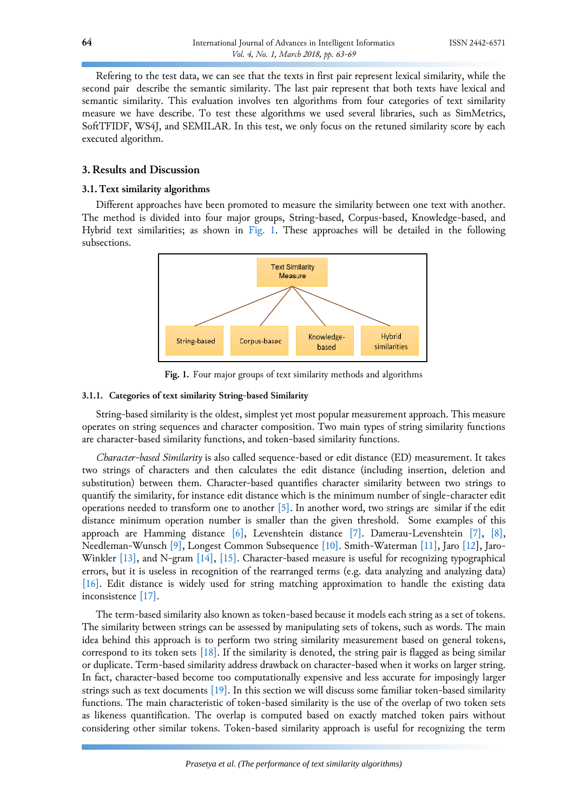Refering to the test data, we can see that the texts in first pair represent lexical similarity, while the second pair describe the semantic similarity. The last pair represent that both texts have lexical and semantic similarity. This evaluation involves ten algorithms from four categories of text similarity measure we have describe. To test these algorithms we used several libraries, such as SimMetrics, SoftTFIDF, WS4J, and SEMILAR. In this test, we only focus on the retuned similarity score by each executed algorithm.

# **3. Results and Discussion**

# **3.1. Text similarity algorithms**

<span id="page-1-0"></span>Different approaches have been promoted to measure the similarity between one text with another. The method is divided into four major groups, String-based, Corpus-based, Knowledge-based, and Hybrid text similarities; as shown in [Fig. 1.](#page-1-0) These approaches will be detailed in the following subsections.



**Fig. 1.** Four major groups of text similarity methods and algorithms

# **3.1.1. Categories of text similarity String-based Similarity**

String-based similarity is the oldest, simplest yet most popular measurement approach. This measure operates on string sequences and character composition. Two main types of string similarity functions are character-based similarity functions, and token-based similarity functions.

*Character-based Similarity* is also called sequence-based or edit distance (ED) measurement. It takes two strings of characters and then calculates the edit distance (including insertion, deletion and substitution) between them. Character-based quantifies character similarity between two strings to quantify the similarity, for instance edit distance which is the minimum number of single-character edit operations needed to transform one to another [\[5\].](#page-4-4) In another word, two strings are similar if the edit distance minimum operation number is smaller than the given threshold. Some examples of this approach are Hamming distance  $[6]$ , Levenshtein distance  $[7]$ . Damerau-Levenshtein  $[7]$ ,  $[8]$ , Needleman-Wunsch [\[9\],](#page-5-2) Longest Common Subsequence [\[10\].](#page-5-3) Smith-Waterman [\[11\],](#page-5-4) Jaro [\[12\]](#page-5-5), Jaro-Winkler [\[13\],](#page-5-6) and N-gram [\[14\],](#page-5-7) [\[15\].](#page-5-8) Character-based measure is useful for recognizing typographical errors, but it is useless in recognition of the rearranged terms (e.g. data analyzing and analyzing data) [\[16\].](#page-5-9) Edit distance is widely used for string matching approximation to handle the existing data inconsistence [\[17\].](#page-5-10)

The term-based similarity also known as token-based because it models each string as a set of tokens. The similarity between strings can be assessed by manipulating sets of tokens, such as words. The main idea behind this approach is to perform two string similarity measurement based on general tokens, correspond to its token sets [\[18\].](#page-5-11) If the similarity is denoted, the string pair is flagged as being similar or duplicate. Term-based similarity address drawback on character-based when it works on larger string. In fact, character-based become too computationally expensive and less accurate for imposingly larger strings such as text documents [\[19\].](#page-5-12) In this section we will discuss some familiar token-based similarity functions. The main characteristic of token-based similarity is the use of the overlap of two token sets as likeness quantification. The overlap is computed based on exactly matched token pairs without considering other similar tokens. Token-based similarity approach is useful for recognizing the term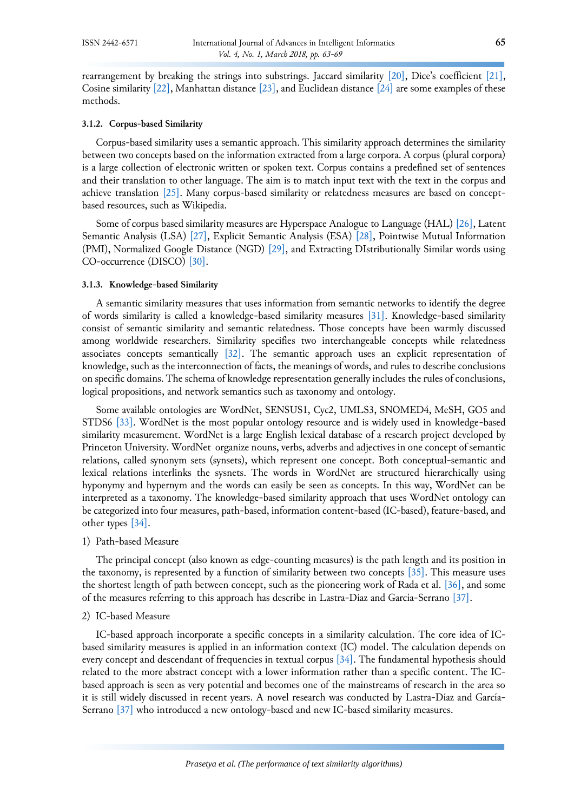rearrangement by breaking the strings into substrings. Jaccard similarity [\[20\]](#page-5-13), Dice's coefficient [\[21\],](#page-5-14) Cosine similarity  $[22]$ , Manhattan distance  $[23]$ , and Euclidean distance  $[24]$  are some examples of these methods.

## **3.1.2. Corpus-based Similarity**

Corpus-based similarity uses a semantic approach. This similarity approach determines the similarity between two concepts based on the information extracted from a large corpora. A corpus (plural corpora) is a large collection of electronic written or spoken text. Corpus contains a predefined set of sentences and their translation to other language. The aim is to match input text with the text in the corpus and achieve translation [\[25\].](#page-5-18) Many corpus-based similarity or relatedness measures are based on conceptbased resources, such as Wikipedia.

Some of corpus based similarity measures are Hyperspace Analogue to Language (HAL[\) \[26\],](#page-5-19) Latent Semantic Analysis (LSA) [\[27\],](#page-5-20) Explicit Semantic Analysis (ESA) [\[28\],](#page-5-21) Pointwise Mutual Information (PMI), Normalized Google Distance (NGD) [\[29\],](#page-5-22) and Extracting DIstributionally Similar words using CO-occurrence (DISCO) [\[30\].](#page-6-0)

### **3.1.3. Knowledge-based Similarity**

A semantic similarity measures that uses information from semantic networks to identify the degree of words similarity is called a knowledge-based similarity measures [\[31\].](#page-6-1) Knowledge-based similarity consist of semantic similarity and semantic relatedness. Those concepts have been warmly discussed among worldwide researchers. Similarity specifies two interchangeable concepts while relatedness associates concepts semantically [\[32\].](#page-6-2) The semantic approach uses an explicit representation of knowledge, such as the interconnection of facts, the meanings of words, and rules to describe conclusions on specific domains. The schema of knowledge representation generally includes the rules of conclusions, logical propositions, and network semantics such as taxonomy and ontology.

Some available ontologies are WordNet, SENSUS1, Cyc2, UMLS3, SNOMED4, MeSH, GO5 and STDS6 [\[33\].](#page-6-3) WordNet is the most popular ontology resource and is widely used in knowledge-based similarity measurement. WordNet is a large English lexical database of a research project developed by Princeton University. WordNet organize nouns, verbs, adverbs and adjectives in one concept of semantic relations, called synonym sets (synsets), which represent one concept. Both conceptual-semantic and lexical relations interlinks the sysnets. The words in WordNet are structured hierarchically using hyponymy and hypernym and the words can easily be seen as concepts. In this way, WordNet can be interpreted as a taxonomy. The knowledge-based similarity approach that uses WordNet ontology can be categorized into four measures, path-based, information content-based (IC-based), feature-based, and other types [\[34\].](#page-6-4)

### 1) Path-based Measure

The principal concept (also known as edge-counting measures) is the path length and its position in the taxonomy, is represented by a function of similarity between two concepts [\[35\].](#page-6-5) This measure uses the shortest length of path between concept, such as the pioneering work of Rada et al. [\[36\],](#page-6-6) and some of the measures referring to this approach has describe in Lastra-Díaz and García-Serrano [\[37\].](#page-6-7)

#### 2) IC-based Measure

IC-based approach incorporate a specific concepts in a similarity calculation. The core idea of ICbased similarity measures is applied in an information context (IC) model. The calculation depends on every concept and descendant of frequencies in textual corpus [\[34\].](#page-6-4) The fundamental hypothesis should related to the more abstract concept with a lower information rather than a specific content. The ICbased approach is seen as very potential and becomes one of the mainstreams of research in the area so it is still widely discussed in recent years. A novel research was conducted by Lastra-Díaz and García-Serrano [\[37\]](#page-6-7) who introduced a new ontology-based and new IC-based similarity measures.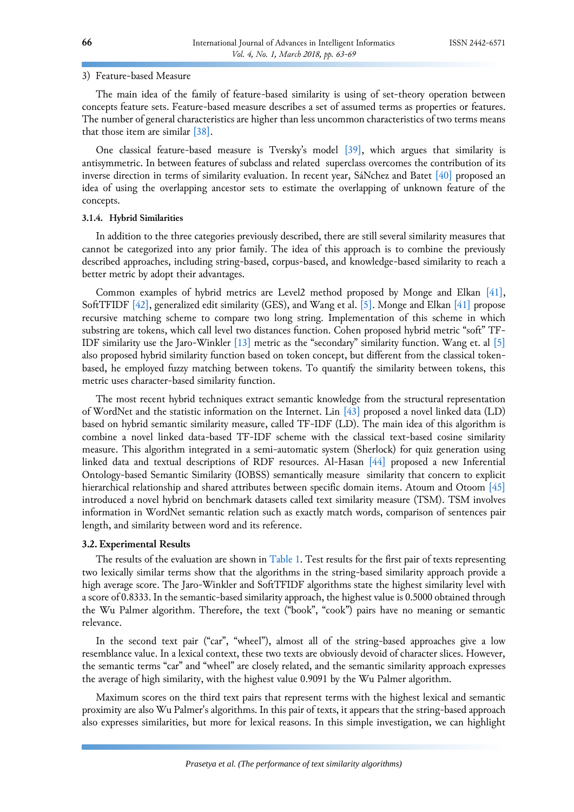### 3) Feature-based Measure

The main idea of the family of feature-based similarity is using of set-theory operation between concepts feature sets. Feature-based measure describes a set of assumed terms as properties or features. The number of general characteristics are higher than less uncommon characteristics of two terms means that those item are similar [\[38\].](#page-6-8)

One classical feature-based measure is Tversky's model [\[39\],](#page-6-9) which argues that similarity is antisymmetric. In between features of subclass and related superclass overcomes the contribution of its inverse direction in terms of similarity evaluation. In recent year, SáNchez and Batet [\[40\]](#page-6-10) proposed an idea of using the overlapping ancestor sets to estimate the overlapping of unknown feature of the concepts.

## **3.1.4. Hybrid Similarities**

In addition to the three categories previously described, there are still several similarity measures that cannot be categorized into any prior family. The idea of this approach is to combine the previously described approaches, including string-based, corpus-based, and knowledge-based similarity to reach a better metric by adopt their advantages.

Common examples of hybrid metrics are Level2 method proposed by Monge and Elkan [\[41\],](#page-6-11) SoftTFIDF [\[42\],](#page-6-12) generalized edit similarity (GES), and Wang et al. [\[5\].](#page-4-4) Monge and Elkan [\[41\]](#page-6-11) propose recursive matching scheme to compare two long string. Implementation of this scheme in which substring are tokens, which call level two distances function. Cohen proposed hybrid metric "soft" TF-IDF similarity use the Jaro-Winkler [\[13\]](#page-5-6) metric as the "secondary" similarity function. Wang et. al [\[5\]](#page-4-4) also proposed hybrid similarity function based on token concept, but different from the classical tokenbased, he employed fuzzy matching between tokens. To quantify the similarity between tokens, this metric uses character-based similarity function.

The most recent hybrid techniques extract semantic knowledge from the structural representation of WordNet and the statistic information on the Internet. Lin [\[43\]](#page-6-13) proposed a novel linked data (LD) based on hybrid semantic similarity measure, called TF-IDF (LD). The main idea of this algorithm is combine a novel linked data-based TF-IDF scheme with the classical text-based cosine similarity measure. This algorithm integrated in a semi-automatic system (Sherlock) for quiz generation using linked data and textual descriptions of RDF resources. Al-Hasan [\[44\]](#page-6-14) proposed a new Inferential Ontology-based Semantic Similarity (IOBSS) semantically measure similarity that concern to explicit hierarchical relationship and shared attributes between specific domain items. Atoum and Otoom [\[45\]](#page-6-15) introduced a novel hybrid on benchmark datasets called text similarity measure (TSM). TSM involves information in WordNet semantic relation such as exactly match words, comparison of sentences pair length, and similarity between word and its reference.

# **3.2. Experimental Results**

The results of the evaluation are shown i[n Table 1.](#page-4-6) Test results for the first pair of texts representing two lexically similar terms show that the algorithms in the string-based similarity approach provide a high average score. The Jaro-Winkler and SoftTFIDF algorithms state the highest similarity level with a score of 0.8333. In the semantic-based similarity approach, the highest value is 0.5000 obtained through the Wu Palmer algorithm. Therefore, the text ("book", "cook") pairs have no meaning or semantic relevance.

In the second text pair ("car", "wheel"), almost all of the string-based approaches give a low resemblance value. In a lexical context, these two texts are obviously devoid of character slices. However, the semantic terms "car" and "wheel" are closely related, and the semantic similarity approach expresses the average of high similarity, with the highest value 0.9091 by the Wu Palmer algorithm.

Maximum scores on the third text pairs that represent terms with the highest lexical and semantic proximity are also Wu Palmer's algorithms. In this pair of texts, it appears that the string-based approach also expresses similarities, but more for lexical reasons. In this simple investigation, we can highlight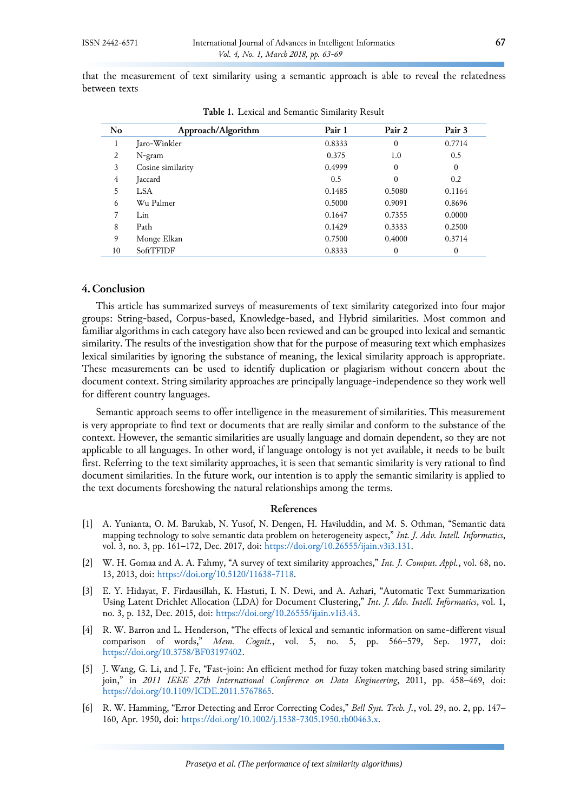that the measurement of text similarity using a semantic approach is able to reveal the relatedness between texts

<span id="page-4-6"></span>

| No | Approach/Algorithm | Pair 1 | Pair 2       | Pair 3   |
|----|--------------------|--------|--------------|----------|
| 1  | Jaro-Winkler       | 0.8333 | $\mathbf{0}$ | 0.7714   |
| 2  | N-gram             | 0.375  | 1.0          | 0.5      |
| 3  | Cosine similarity  | 0.4999 | $\Omega$     | $\theta$ |
| 4  | Jaccard            | 0.5    | $\Omega$     | 0.2      |
| 5  | <b>LSA</b>         | 0.1485 | 0.5080       | 0.1164   |
| 6  | Wu Palmer          | 0.5000 | 0.9091       | 0.8696   |
| 7  | Lin                | 0.1647 | 0.7355       | 0.0000   |
| 8  | Path               | 0.1429 | 0.3333       | 0.2500   |
| 9  | Monge Elkan        | 0.7500 | 0.4000       | 0.3714   |
| 10 | SoftTFIDF          | 0.8333 | $\theta$     | $\theta$ |

**Table 1.** Lexical and Semantic Similarity Result

# **4. Conclusion**

This article has summarized surveys of measurements of text similarity categorized into four major groups: String-based, Corpus-based, Knowledge-based, and Hybrid similarities. Most common and familiar algorithms in each category have also been reviewed and can be grouped into lexical and semantic similarity. The results of the investigation show that for the purpose of measuring text which emphasizes lexical similarities by ignoring the substance of meaning, the lexical similarity approach is appropriate. These measurements can be used to identify duplication or plagiarism without concern about the document context. String similarity approaches are principally language-independence so they work well for different country languages.

Semantic approach seems to offer intelligence in the measurement of similarities. This measurement is very appropriate to find text or documents that are really similar and conform to the substance of the context. However, the semantic similarities are usually language and domain dependent, so they are not applicable to all languages. In other word, if language ontology is not yet available, it needs to be built first. Referring to the text similarity approaches, it is seen that semantic similarity is very rational to find document similarities. In the future work, our intention is to apply the semantic similarity is applied to the text documents foreshowing the natural relationships among the terms.

#### **References**

- <span id="page-4-0"></span>[1] A. Yunianta, O. M. Barukab, N. Yusof, N. Dengen, H. Haviluddin, and M. S. Othman, "Semantic data mapping technology to solve semantic data problem on heterogeneity aspect," *Int. J. Adv. Intell. Informatics*, vol. 3, no. 3, pp. 161–172, Dec. 2017, doi: [https://doi.org/10.26555/ijain.v3i3.131.](https://doi.org/10.26555/ijain.v3i3.131)
- <span id="page-4-1"></span>[2] W. H. Gomaa and A. A. Fahmy, "A survey of text similarity approaches," *Int. J. Comput. Appl.*, vol. 68, no. 13, 2013, doi: [https://doi.org/10.5120/11638-7118.](https://doi.org/10.5120/11638-7118)
- <span id="page-4-2"></span>[3] E. Y. Hidayat, F. Firdausillah, K. Hastuti, I. N. Dewi, and A. Azhari, "Automatic Text Summarization Using Latent Drichlet Allocation (LDA) for Document Clustering," *Int. J. Adv. Intell. Informatics*, vol. 1, no. 3, p. 132, Dec. 2015, doi: [https://doi.org/10.26555/ijain.v1i3.43.](https://doi.org/10.26555/ijain.v1i3.43)
- <span id="page-4-3"></span>[4] R. W. Barron and L. Henderson, "The effects of lexical and semantic information on same-different visual comparison of words," *Mem. Cognit.*, vol. 5, no. 5, pp. 566–579, Sep. 1977, doi: [https://doi.org/10.3758/BF03197402.](https://doi.org/10.3758/BF03197402)
- <span id="page-4-4"></span>[5] J. Wang, G. Li, and J. Fe, "Fast-join: An efficient method for fuzzy token matching based string similarity join," in *2011 IEEE 27th International Conference on Data Engineering*, 2011, pp. 458–469, doi: [https://doi.org/10.1109/ICDE.2011.5767865.](https://doi.org/10.1109/ICDE.2011.5767865)
- <span id="page-4-5"></span>[6] R. W. Hamming, "Error Detecting and Error Correcting Codes," *Bell Syst. Tech. J.*, vol. 29, no. 2, pp. 147– 160, Apr. 1950, doi: [https://doi.org/10.1002/j.1538-7305.1950.tb00463.x.](https://doi.org/10.1002/j.1538-7305.1950.tb00463.x)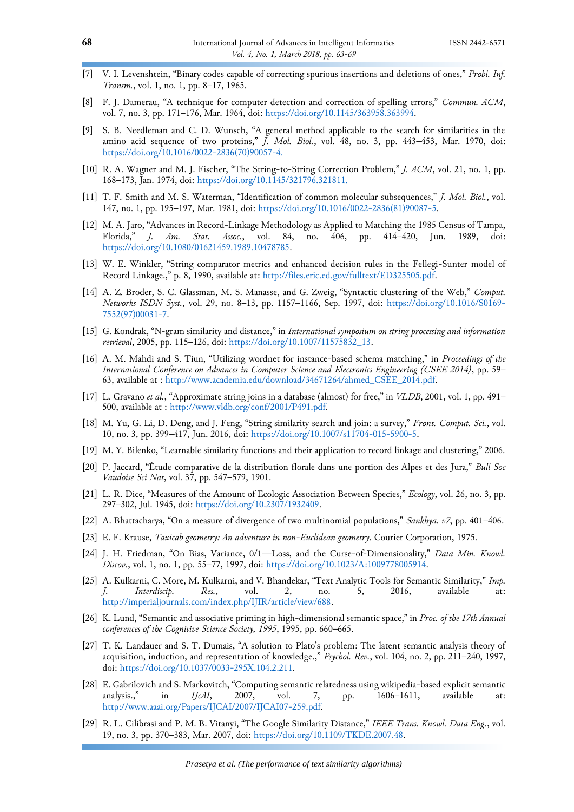- <span id="page-5-0"></span>[7] V. I. Levenshtein, "Binary codes capable of correcting spurious insertions and deletions of ones," *Probl. Inf. Transm.*, vol. 1, no. 1, pp. 8–17, 1965.
- <span id="page-5-1"></span>[8] F. J. Damerau, "A technique for computer detection and correction of spelling errors," *Commun. ACM*, vol. 7, no. 3, pp. 171–176, Mar. 1964, doi: [https://doi.org/10.1145/363958.363994.](https://doi.org/10.1145/363958.363994)
- <span id="page-5-2"></span>[9] S. B. Needleman and C. D. Wunsch, "A general method applicable to the search for similarities in the amino acid sequence of two proteins," *J. Mol. Biol.*, vol. 48, no. 3, pp. 443–453, Mar. 1970, doi: [https://doi.org/10.1016/0022-2836\(70\)90057-4.](https://doi.org/10.1016/0022-2836(70)90057-4.)
- <span id="page-5-3"></span>[10] R. A. Wagner and M. J. Fischer, "The String-to-String Correction Problem," *J. ACM*, vol. 21, no. 1, pp. 168–173, Jan. 1974, doi:<https://doi.org/10.1145/321796.321811.>
- <span id="page-5-4"></span>[11] T. F. Smith and M. S. Waterman, "Identification of common molecular subsequences," *J. Mol. Biol.*, vol. 147, no. 1, pp. 195–197, Mar. 1981, doi[: https://doi.org/10.1016/0022-2836\(81\)90087-5.](https://doi.org/10.1016/0022-2836(81)90087-5)
- <span id="page-5-5"></span>[12] M. A. Jaro, "Advances in Record-Linkage Methodology as Applied to Matching the 1985 Census of Tampa,<br>Florida," J. Am. Stat. Assoc., vol. 84, no. 406, pp. 414–420, Jun. 1989, doi: vol. 84, no. 406, pp. 414–420, Jun. 1989, doi: [https://doi.org/10.1080/01621459.1989.10478785.](https://doi.org/10.1080/01621459.1989.10478785)
- <span id="page-5-6"></span>[13] W. E. Winkler, "String comparator metrics and enhanced decision rules in the Fellegi-Sunter model of Record Linkage.," p. 8, 1990, available at: [http://files.eric.ed.gov/fulltext/ED325505.pdf.](http://files.eric.ed.gov/fulltext/ED325505.pdf)
- <span id="page-5-7"></span>[14] A. Z. Broder, S. C. Glassman, M. S. Manasse, and G. Zweig, "Syntactic clustering of the Web," *Comput. Networks ISDN Syst.*, vol. 29, no. 8–13, pp. 1157–1166, Sep. 1997, doi: [https://doi.org/10.1016/S0169-](https://doi.org/10.1016/S0169-7552(97)00031-7) [7552\(97\)00031-7.](https://doi.org/10.1016/S0169-7552(97)00031-7)
- <span id="page-5-8"></span>[15] G. Kondrak, "N-gram similarity and distance," in *International symposium on string processing and information retrieval*, 2005, pp. 115–126, doi: [https://doi.org/10.1007/11575832\\_13.](https://doi.org/10.1007/11575832_13)
- <span id="page-5-9"></span>[16] A. M. Mahdi and S. Tiun, "Utilizing wordnet for instance-based schema matching," in *Proceedings of the International Conference on Advances in Computer Science and Electronics Engineering (CSEE 2014)*, pp. 59– 63, available at : [http://www.academia.edu/download/34671264/ahmed\\_CSEE\\_2014.pdf.](http://www.academia.edu/download/34671264/ahmed_CSEE_2014.pdf)
- <span id="page-5-10"></span>[17] L. Gravano *et al.*, "Approximate string joins in a database (almost) for free," in *VLDB*, 2001, vol. 1, pp. 491– 500, available at : [http://www.vldb.org/conf/2001/P491.pdf.](http://www.vldb.org/conf/2001/P491.pdf)
- <span id="page-5-11"></span>[18] M. Yu, G. Li, D. Deng, and J. Feng, "String similarity search and join: a survey," *Front. Comput. Sci.*, vol. 10, no. 3, pp. 399–417, Jun. 2016, doi: [https://doi.org/10.1007/s11704-015-5900-5.](https://doi.org/10.1007/s11704-015-5900-5)
- <span id="page-5-12"></span>[19] M. Y. Bilenko, "Learnable similarity functions and their application to record linkage and clustering," 2006.
- <span id="page-5-13"></span>[20] P. Jaccard, "Étude comparative de la distribution florale dans une portion des Alpes et des Jura," *Bull Soc Vaudoise Sci Nat*, vol. 37, pp. 547–579, 1901.
- <span id="page-5-14"></span>[21] L. R. Dice, "Measures of the Amount of Ecologic Association Between Species," *Ecology*, vol. 26, no. 3, pp. 297–302, Jul. 1945, doi: [https://doi.org/10.2307/1932409.](https://doi.org/10.2307/1932409)
- <span id="page-5-15"></span>[22] A. Bhattacharya, "On a measure of divergence of two multinomial populations," *Sankhya. v7*, pp. 401–406.
- <span id="page-5-16"></span>[23] E. F. Krause, *Taxicab geometry: An adventure in non-Euclidean geometry*. Courier Corporation, 1975.
- <span id="page-5-17"></span>[24] J. H. Friedman, "On Bias, Variance, 0/1—Loss, and the Curse-of-Dimensionality," *Data Min. Knowl. Discov.*, vol. 1, no. 1, pp. 55–77, 1997, doi: [https://doi.org/10.1023/A:1009778005914.](https://doi.org/10.1023/A:1009778005914)
- <span id="page-5-18"></span>[25] A. Kulkarni, C. More, M. Kulkarni, and V. Bhandekar, "Text Analytic Tools for Semantic Similarity," *Imp. J. Interdiscip. Res.*, vol. 2, no. 5, 2016, available at: [http://imperialjournals.com/index.php/IJIR/article/view/688.](http://imperialjournals.com/index.php/IJIR/article/view/688)
- <span id="page-5-19"></span>[26] K. Lund, "Semantic and associative priming in high-dimensional semantic space," in *Proc. of the 17th Annual conferences of the Cognitive Science Society, 1995*, 1995, pp. 660–665.
- <span id="page-5-20"></span>[27] T. K. Landauer and S. T. Dumais, "A solution to Plato's problem: The latent semantic analysis theory of acquisition, induction, and representation of knowledge.," *Psychol. Rev.*, vol. 104, no. 2, pp. 211–240, 1997, doi: [https://doi.org/10.1037/0033-295X.104.2.211.](https://doi.org/10.1037/0033-295X.104.2.211)
- <span id="page-5-21"></span>[28] E. Gabrilovich and S. Markovitch, "Computing semantic relatedness using wikipedia-based explicit semantic analysis.," in *IJcAI*, 2007, vol. 7, pp. 1606–1611, available at: [http://www.aaai.org/Papers/IJCAI/2007/IJCAI07-259.pdf.](http://www.aaai.org/Papers/IJCAI/2007/IJCAI07-259.pdf)
- <span id="page-5-22"></span>[29] R. L. Cilibrasi and P. M. B. Vitanyi, "The Google Similarity Distance," *IEEE Trans. Knowl. Data Eng.*, vol. 19, no. 3, pp. 370–383, Mar. 2007, doi: [https://doi.org/10.1109/TKDE.2007.48.](https://doi.org/10.1109/TKDE.2007.48)